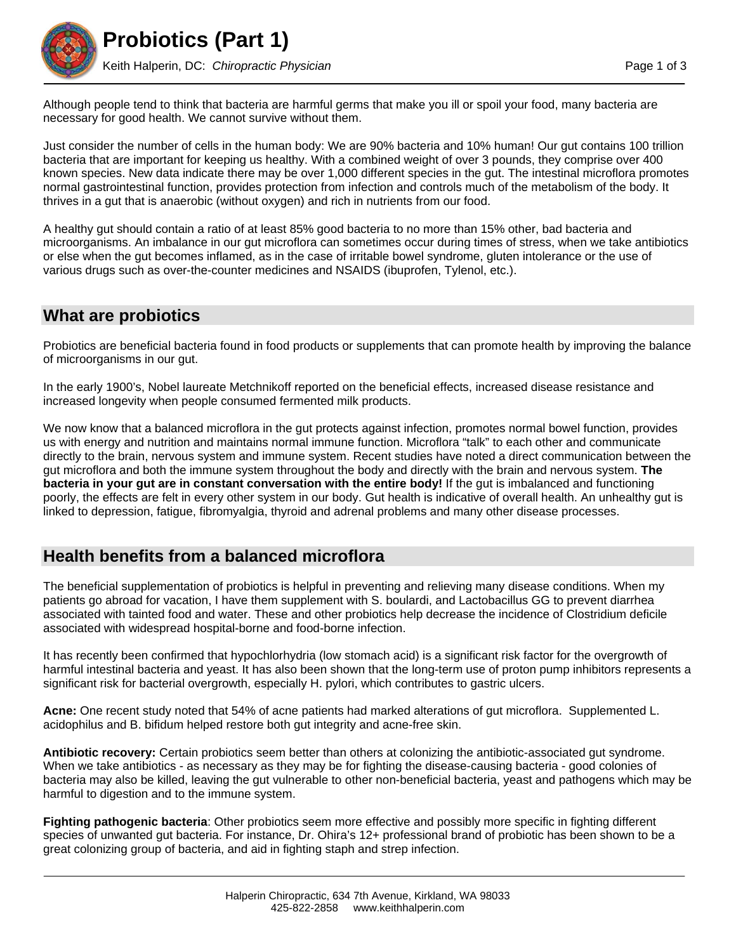

Although people tend to think that bacteria are harmful germs that make you ill or spoil your food, many bacteria are necessary for good health. We cannot survive without them.

Just consider the number of cells in the human body: We are 90% bacteria and 10% human! Our gut contains 100 trillion bacteria that are important for keeping us healthy. With a combined weight of over 3 pounds, they comprise over 400 known species. New data indicate there may be over 1,000 different species in the gut. The intestinal microflora promotes normal gastrointestinal function, provides protection from infection and controls much of the metabolism of the body. It thrives in a gut that is anaerobic (without oxygen) and rich in nutrients from our food.

A healthy gut should contain a ratio of at least 85% good bacteria to no more than 15% other, bad bacteria and microorganisms. An imbalance in our gut microflora can sometimes occur during times of stress, when we take antibiotics or else when the gut becomes inflamed, as in the case of irritable bowel syndrome, gluten intolerance or the use of various drugs such as over-the-counter medicines and NSAIDS (ibuprofen, Tylenol, etc.).

#### **What are probiotics**

Probiotics are beneficial bacteria found in food products or supplements that can promote health by improving the balance of microorganisms in our gut.

In the early 1900's, Nobel laureate Metchnikoff reported on the beneficial effects, increased disease resistance and increased longevity when people consumed fermented milk products.

We now know that a balanced microflora in the gut protects against infection, promotes normal bowel function, provides us with energy and nutrition and maintains normal immune function. Microflora "talk" to each other and communicate directly to the brain, nervous system and immune system. Recent studies have noted a direct communication between the gut microflora and both the immune system throughout the body and directly with the brain and nervous system. **The bacteria in your gut are in constant conversation with the entire body!** If the gut is imbalanced and functioning poorly, the effects are felt in every other system in our body. Gut health is indicative of overall health. An unhealthy gut is linked to depression, fatigue, fibromyalgia, thyroid and adrenal problems and many other disease processes.

# **Health benefits from a balanced microflora**

The beneficial supplementation of probiotics is helpful in preventing and relieving many disease conditions. When my patients go abroad for vacation, I have them supplement with S. boulardi, and Lactobacillus GG to prevent diarrhea associated with tainted food and water. These and other probiotics help decrease the incidence of Clostridium deficile associated with widespread hospital-borne and food-borne infection.

It has recently been confirmed that hypochlorhydria (low stomach acid) is a significant risk factor for the overgrowth of harmful intestinal bacteria and yeast. It has also been shown that the long-term use of proton pump inhibitors represents a significant risk for bacterial overgrowth, especially H. pylori, which contributes to gastric ulcers.

**Acne:** One recent study noted that 54% of acne patients had marked alterations of gut microflora. Supplemented L. acidophilus and B. bifidum helped restore both gut integrity and acne-free skin.

**Antibiotic recovery:** Certain probiotics seem better than others at colonizing the antibiotic-associated gut syndrome. When we take antibiotics - as necessary as they may be for fighting the disease-causing bacteria - good colonies of bacteria may also be killed, leaving the gut vulnerable to other non-beneficial bacteria, yeast and pathogens which may be harmful to digestion and to the immune system.

**Fighting pathogenic bacteria**: Other probiotics seem more effective and possibly more specific in fighting different species of unwanted gut bacteria. For instance, Dr. Ohira's 12+ professional brand of probiotic has been shown to be a great colonizing group of bacteria, and aid in fighting staph and strep infection.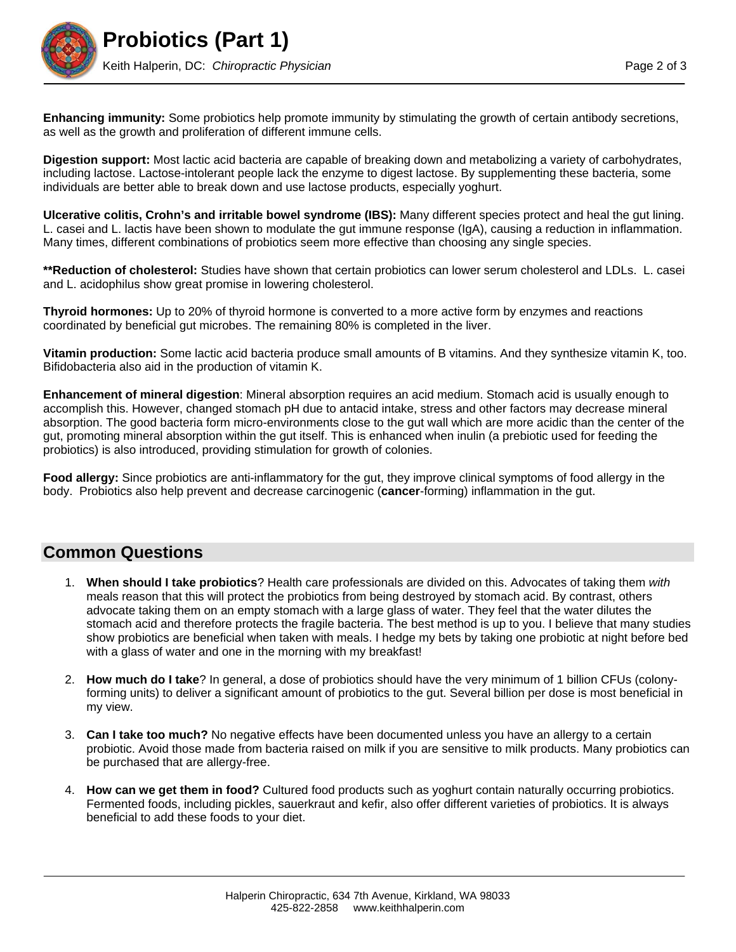

**Enhancing immunity:** Some probiotics help promote immunity by stimulating the growth of certain antibody secretions, as well as the growth and proliferation of different immune cells.

**Digestion support:** Most lactic acid bacteria are capable of breaking down and metabolizing a variety of carbohydrates, including lactose. Lactose-intolerant people lack the enzyme to digest lactose. By supplementing these bacteria, some individuals are better able to break down and use lactose products, especially yoghurt.

**Ulcerative colitis, Crohn's and irritable bowel syndrome (IBS):** Many different species protect and heal the gut lining. L. casei and L. lactis have been shown to modulate the gut immune response (IgA), causing a reduction in inflammation. Many times, different combinations of probiotics seem more effective than choosing any single species.

**\*\*Reduction of cholesterol:** Studies have shown that certain probiotics can lower serum cholesterol and LDLs. L. casei and L. acidophilus show great promise in lowering cholesterol.

**Thyroid hormones:** Up to 20% of thyroid hormone is converted to a more active form by enzymes and reactions coordinated by beneficial gut microbes. The remaining 80% is completed in the liver.

**Vitamin production:** Some lactic acid bacteria produce small amounts of B vitamins. And they synthesize vitamin K, too. Bifidobacteria also aid in the production of vitamin K.

**Enhancement of mineral digestion**: Mineral absorption requires an acid medium. Stomach acid is usually enough to accomplish this. However, changed stomach pH due to antacid intake, stress and other factors may decrease mineral absorption. The good bacteria form micro-environments close to the gut wall which are more acidic than the center of the gut, promoting mineral absorption within the gut itself. This is enhanced when inulin (a prebiotic used for feeding the probiotics) is also introduced, providing stimulation for growth of colonies.

**Food allergy:** Since probiotics are anti-inflammatory for the gut, they improve clinical symptoms of food allergy in the body. Probiotics also help prevent and decrease carcinogenic (**cancer**-forming) inflammation in the gut.

#### **Common Questions**

- 1. **When should I take probiotics**? Health care professionals are divided on this. Advocates of taking them *with* meals reason that this will protect the probiotics from being destroyed by stomach acid. By contrast, others advocate taking them on an empty stomach with a large glass of water. They feel that the water dilutes the stomach acid and therefore protects the fragile bacteria. The best method is up to you. I believe that many studies show probiotics are beneficial when taken with meals. I hedge my bets by taking one probiotic at night before bed with a glass of water and one in the morning with my breakfast!
- 2. **How much do I take**? In general, a dose of probiotics should have the very minimum of 1 billion CFUs (colonyforming units) to deliver a significant amount of probiotics to the gut. Several billion per dose is most beneficial in my view.
- 3. **Can I take too much?** No negative effects have been documented unless you have an allergy to a certain probiotic. Avoid those made from bacteria raised on milk if you are sensitive to milk products. Many probiotics can be purchased that are allergy-free.
- 4. **How can we get them in food?** Cultured food products such as yoghurt contain naturally occurring probiotics. Fermented foods, including pickles, sauerkraut and kefir, also offer different varieties of probiotics. It is always beneficial to add these foods to your diet.